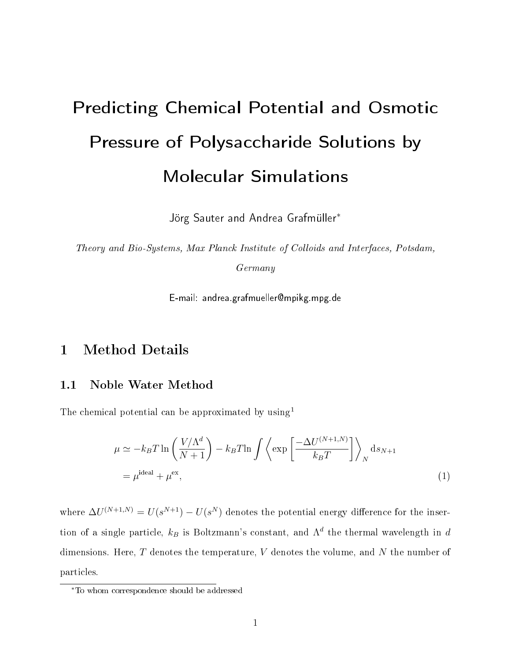# Predicting Chemical Potential and Osmotic Pressure of Polysaccharide Solutions by Molecular Simulations

Jörg Sauter and Andrea Grafmüller<sup>\*</sup>

Theory and Bio-Systems, Max Planck Institute of Colloids and Interfaces, Potsdam,

Germany

E-mail: andrea.grafmueller@mpikg.mpg.de

# 1 Method Details

# 1.1 Noble Water Method

The chemical potential can be approximated by  $using<sup>1</sup>$ 

$$
\mu \simeq -k_B T \ln \left( \frac{V/\Lambda^d}{N+1} \right) - k_B T \ln \int \left\langle \exp \left[ \frac{-\Delta U^{(N+1,N)}}{k_B T} \right] \right\rangle_N ds_{N+1}
$$

$$
= \mu^{\text{ideal}} + \mu^{\text{ex}}, \tag{1}
$$

where  $\Delta U^{(N+1,N)} = U(s^{N+1}) - U(s^N)$  denotes the potential energy difference for the insertion of a single particle,  $k_B$  is Boltzmann's constant, and  $\Lambda^d$  the thermal wavelength in d dimensions. Here,  $T$  denotes the temperature,  $V$  denotes the volume, and  $N$  the number of particles.

<sup>∗</sup>To whom correspondence should be addressed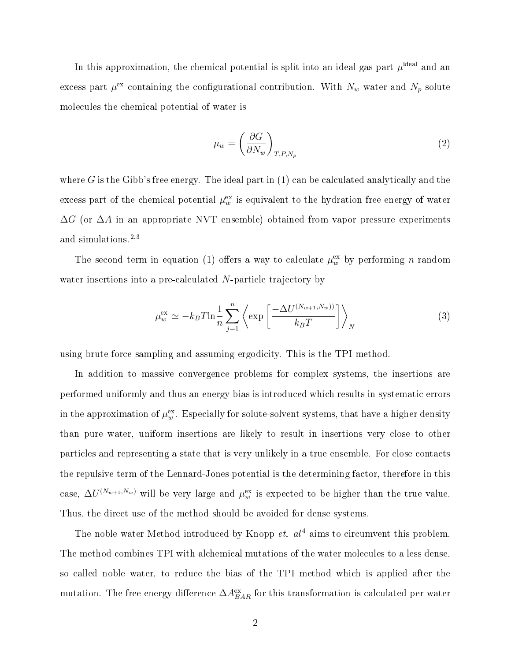In this approximation, the chemical potential is split into an ideal gas part  $\mu^{\rm ideal}$  and an excess part  $\mu^{\text{ex}}$  containing the configurational contribution. With  $N_w$  water and  $N_p$  solute molecules the chemical potential of water is

$$
\mu_w = \left(\frac{\partial G}{\partial N_w}\right)_{T, P, N_p} \tag{2}
$$

where  $G$  is the Gibb's free energy. The ideal part in  $(1)$  can be calculated analytically and the excess part of the chemical potential  $\mu^{\mathrm{ex}}_w$  is equivalent to the hydration free energy of water  $\Delta G$  (or  $\Delta A$  in an appropriate NVT ensemble) obtained from vapor pressure experiments and simulations.<sup>2,3</sup>

The second term in equation (1) offers a way to calculate  $\mu_w^{\text{ex}}$  by performing n random water insertions into a pre-calculated N-particle trajectory by

$$
\mu_w^{\text{ex}} \simeq -k_B T \ln \frac{1}{n} \sum_{j=1}^n \left\langle \exp \left[ \frac{-\Delta U^{(N_{w+1}, N_w))}}{k_B T} \right] \right\rangle_N \tag{3}
$$

using brute force sampling and assuming ergodicity. This is the TPI method.

In addition to massive convergence problems for complex systems, the insertions are performed uniformly and thus an energy bias is introduced which results in systematic errors in the approximation of  $\mu^{\mathrm{ex}}_w$  . Especially for solute-solvent systems, that have a higher density than pure water, uniform insertions are likely to result in insertions very close to other particles and representing a state that is very unlikely in a true ensemble. For close contacts the repulsive term of the Lennard-Jones potential is the determining factor, therefore in this case,  $\Delta U^{(N_{w+1}, N_w)}$  will be very large and  $\mu_w^{\text{ex}}$  is expected to be higher than the true value. Thus, the direct use of the method should be avoided for dense systems.

The noble water Method introduced by Knopp  $et.$   $al<sup>4</sup>$  aims to circumvent this problem. The method combines TPI with alchemical mutations of the water molecules to a less dense, so called noble water, to reduce the bias of the TPI method which is applied after the mutation. The free energy difference  $\Delta A_{BAR}^{\rm ex}$  for this transformation is calculated per water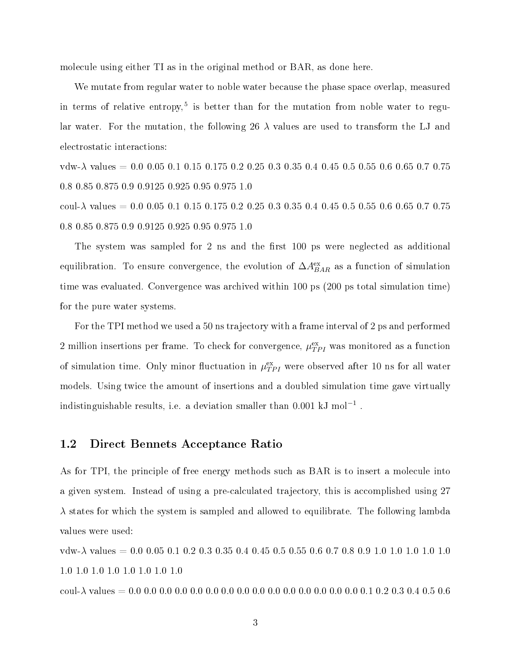molecule using either TI as in the original method or BAR, as done here.

We mutate from regular water to noble water because the phase space overlap, measured in terms of relative entropy,<sup>5</sup> is better than for the mutation from noble water to regular water. For the mutation, the following 26  $\lambda$  values are used to transform the LJ and electrostatic interactions:

vdw- $\lambda$  values = 0.0 0.05 0.1 0.15 0.175 0.2 0.25 0.3 0.35 0.4 0.45 0.5 0.55 0.6 0.65 0.7 0.75 0.8 0.85 0.875 0.9 0.9125 0.925 0.95 0.975 1.0

coul- $\lambda$  values = 0.0 0.05 0.1 0.15 0.175 0.2 0.25 0.3 0.35 0.4 0.45 0.5 0.55 0.6 0.65 0.7 0.75 0.8 0.85 0.875 0.9 0.9125 0.925 0.95 0.975 1.0

The system was sampled for 2 ns and the first  $100$  ps were neglected as additional equilibration. To ensure convergence, the evolution of  $\Delta A_{BAR}^{\rm ex}$  as a function of simulation time was evaluated. Convergence was archived within 100 ps (200 ps total simulation time) for the pure water systems.

For the TPI method we used a 50 ns trajectory with a frame interval of 2 ps and performed 2 million insertions per frame. To check for convergence,  $\mu_{TPI}^{\text{ex}}$  was monitored as a function of simulation time. Only minor fluctuation in  $\mu^{\mathrm{ex}}_{TPI}$  were observed after 10 ns for all water models. Using twice the amount of insertions and a doubled simulation time gave virtually indistinguishable results, i.e. a deviation smaller than 0.001 kJ  $\mathrm{mol}^{-1}$  .

# 1.2 Direct Bennets Acceptance Ratio

As for TPI, the principle of free energy methods such as BAR is to insert a molecule into a given system. Instead of using a pre-calculated trajectory, this is accomplished using 27  $\lambda$  states for which the system is sampled and allowed to equilibrate. The following lambda values were used:

vdw- $\lambda$  values = 0.0 0.05 0.1 0.2 0.3 0.35 0.4 0.45 0.5 0.55 0.6 0.7 0.8 0.9 1.0 1.0 1.0 1.0 1.0 1.0 1.0 1.0 1.0 1.0 1.0 1.0 1.0

coul-λ values = 0.0 0.0 0.0 0.0 0.0 0.0 0.0 0.0 0.0 0.0 0.0 0.0 0.0 0.0 0.0 0.1 0.2 0.3 0.4 0.5 0.6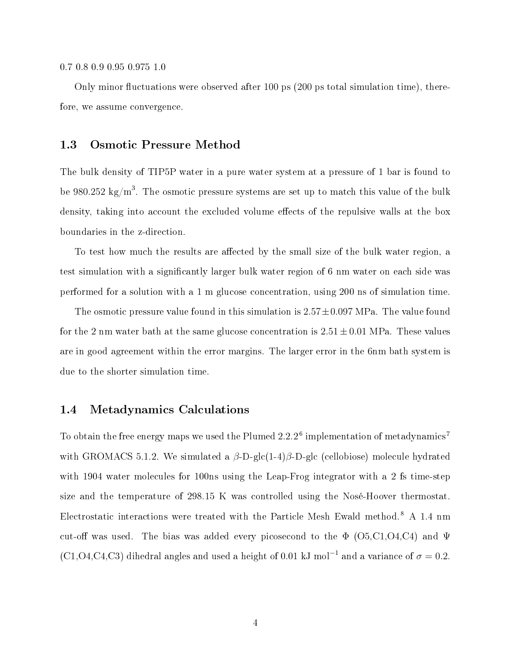#### 0.7 0.8 0.9 0.95 0.975 1.0

Only minor fluctuations were observed after 100 ps  $(200 \text{ ps total simulation time})$ , therefore, we assume convergence.

## 1.3 Osmotic Pressure Method

The bulk density of TIP5P water in a pure water system at a pressure of 1 bar is found to be 980.252 kg/m $^3$ . The osmotic pressure systems are set up to match this value of the bulk density, taking into account the excluded volume effects of the repulsive walls at the box boundaries in the z-direction.

To test how much the results are affected by the small size of the bulk water region, a test simulation with a signicantly larger bulk water region of 6 nm water on each side was performed for a solution with a 1 m glucose concentration, using 200 ns of simulation time.

The osmotic pressure value found in this simulation is  $2.57\pm0.097$  MPa. The value found for the 2 nm water bath at the same glucose concentration is  $2.51 \pm 0.01$  MPa. These values are in good agreement within the error margins. The larger error in the 6nm bath system is due to the shorter simulation time.

## 1.4 Metadynamics Calculations

To obtain the free energy maps we used the Plumed  $2.2.2^6$  implementation of metadynamics<sup>7</sup> with GROMACS 5.1.2. We simulated a  $\beta$ -D-glc(1-4) $\beta$ -D-glc (cellobiose) molecule hydrated with 1904 water molecules for 100ns using the Leap-Frog integrator with a 2 fs time-step size and the temperature of 298.15 K was controlled using the Nosé-Hoover thermostat. Electrostatic interactions were treated with the Particle Mesh Ewald method.<sup>8</sup> A 1.4 nm cut-off was used. The bias was added every picosecond to the  $\Phi$  (O5,C1,O4,C4) and  $\Psi$ (C1,O4,C4,C3) dihedral angles and used a height of 0.01 kJ mol<sup>-1</sup> and a variance of  $\sigma = 0.2$ .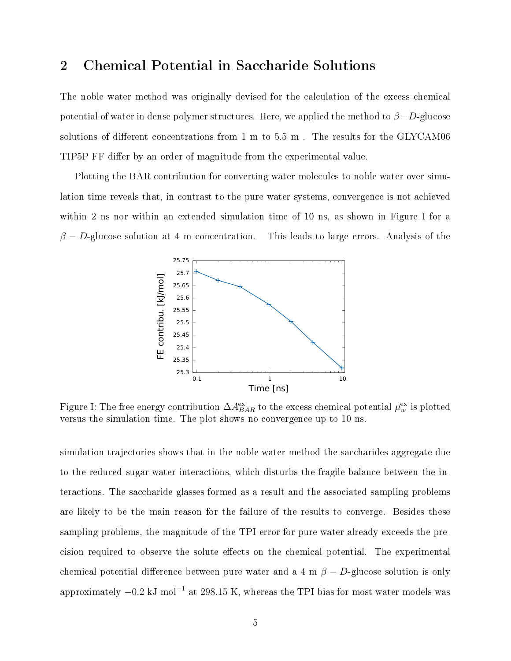# 2 Chemical Potential in Saccharide Solutions

The noble water method was originally devised for the calculation of the excess chemical potential of water in dense polymer structures. Here, we applied the method to  $\beta - D$ -glucose solutions of different concentrations from  $1 \text{ m}$  to  $5.5 \text{ m}$  . The results for the GLYCAM06 TIP5P FF differ by an order of magnitude from the experimental value.

Plotting the BAR contribution for converting water molecules to noble water over simulation time reveals that, in contrast to the pure water systems, convergence is not achieved within 2 ns nor within an extended simulation time of 10 ns, as shown in Figure I for a  $\beta - D$ -glucose solution at 4 m concentration. This leads to large errors. Analysis of the



Figure I: The free energy contribution  $\Delta A_{BAR}^{\rm ex}$  to the excess chemical potential  $\mu_{w}^{\rm ex}$  is plotted versus the simulation time. The plot shows no convergence up to 10 ns.

simulation trajectories shows that in the noble water method the saccharides aggregate due to the reduced sugar-water interactions, which disturbs the fragile balance between the interactions. The saccharide glasses formed as a result and the associated sampling problems are likely to be the main reason for the failure of the results to converge. Besides these sampling problems, the magnitude of the TPI error for pure water already exceeds the precision required to observe the solute effects on the chemical potential. The experimental chemical potential difference between pure water and a 4 m  $\beta - D$ -glucose solution is only approximately  $-0.2$  kJ mol $^{-1}$  at 298.15 K, whereas the TPI bias for most water models was